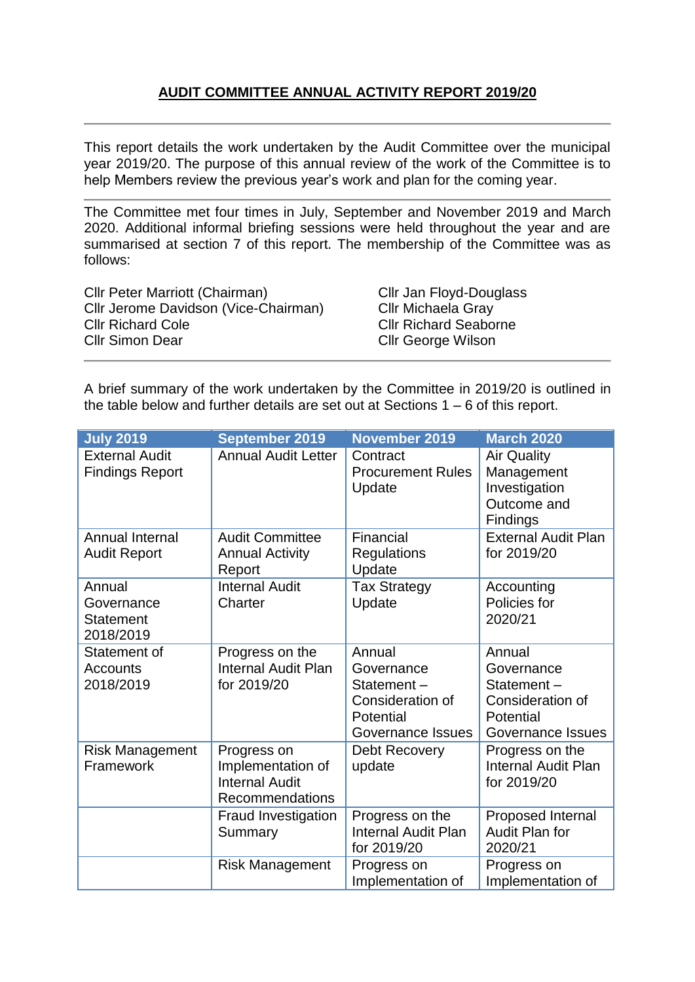# **AUDIT COMMITTEE ANNUAL ACTIVITY REPORT 2019/20**

This report details the work undertaken by the Audit Committee over the municipal year 2019/20. The purpose of this annual review of the work of the Committee is to help Members review the previous year's work and plan for the coming year.

The Committee met four times in July, September and November 2019 and March 2020. Additional informal briefing sessions were held throughout the year and are summarised at section 7 of this report. The membership of the Committee was as follows:

Cllr Peter Marriott (Chairman) Cllr Jan Floyd-Douglass Cllr Jerome Davidson (Vice-Chairman) Cllr Michaela Gray Cllr Richard Cole Cllr Richard Seaborne Cllr Simon Dear Cllr George Wilson

A brief summary of the work undertaken by the Committee in 2019/20 is outlined in the table below and further details are set out at Sections 1 – 6 of this report.

| <b>July 2019</b>                                      | <b>September 2019</b>                                                               | <b>November 2019</b>                                                                     | <b>March 2020</b>                                                                               |
|-------------------------------------------------------|-------------------------------------------------------------------------------------|------------------------------------------------------------------------------------------|-------------------------------------------------------------------------------------------------|
| <b>External Audit</b><br><b>Findings Report</b>       | <b>Annual Audit Letter</b>                                                          | Contract<br><b>Procurement Rules</b><br>Update                                           | <b>Air Quality</b><br>Management<br>Investigation<br>Outcome and<br><b>Findings</b>             |
| Annual Internal<br><b>Audit Report</b>                | <b>Audit Committee</b><br><b>Annual Activity</b><br>Report                          | Financial<br><b>Regulations</b><br>Update                                                | <b>External Audit Plan</b><br>for 2019/20                                                       |
| Annual<br>Governance<br><b>Statement</b><br>2018/2019 | <b>Internal Audit</b><br>Charter                                                    | <b>Tax Strategy</b><br>Update                                                            | Accounting<br>Policies for<br>2020/21                                                           |
| Statement of<br><b>Accounts</b><br>2018/2019          | Progress on the<br><b>Internal Audit Plan</b><br>for 2019/20                        | Annual<br>Governance<br>Statement-<br>Consideration of<br>Potential<br>Governance Issues | Annual<br>Governance<br>Statement-<br><b>Consideration of</b><br>Potential<br>Governance Issues |
| <b>Risk Management</b><br>Framework                   | Progress on<br>Implementation of<br><b>Internal Audit</b><br><b>Recommendations</b> | Debt Recovery<br>update                                                                  | Progress on the<br>Internal Audit Plan<br>for 2019/20                                           |
|                                                       | Fraud Investigation<br>Summary                                                      | Progress on the<br><b>Internal Audit Plan</b><br>for 2019/20                             | Proposed Internal<br>Audit Plan for<br>2020/21                                                  |
|                                                       | <b>Risk Management</b>                                                              | Progress on<br>Implementation of                                                         | Progress on<br>Implementation of                                                                |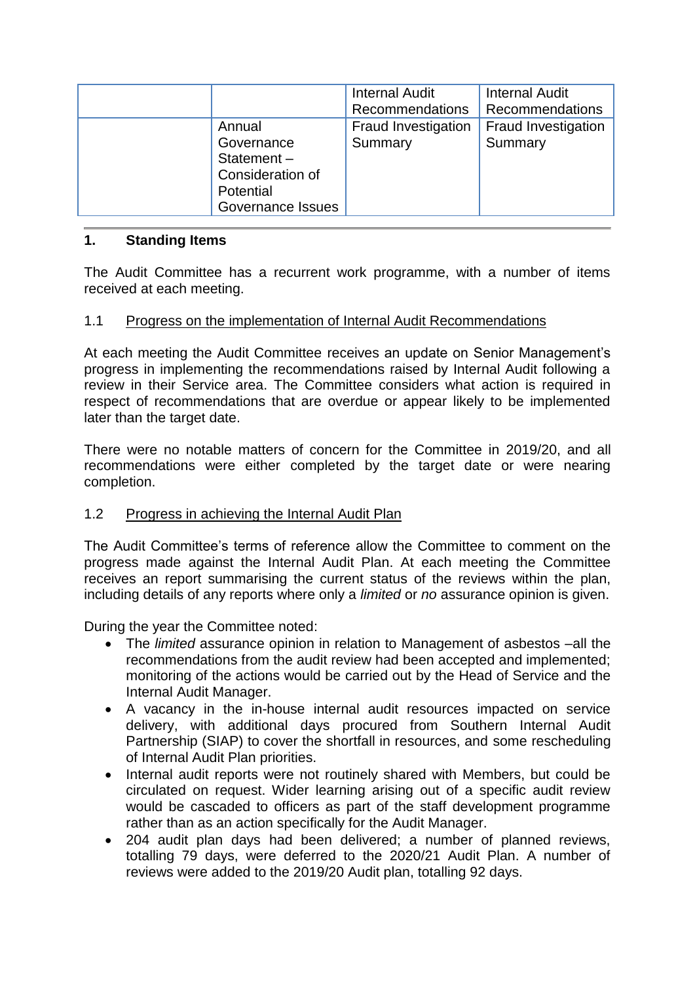|                                                                                             | <b>Internal Audit</b><br><b>Recommendations</b> | <b>Internal Audit</b><br>Recommendations |
|---------------------------------------------------------------------------------------------|-------------------------------------------------|------------------------------------------|
| Annual<br>Governance<br>Statement $-$<br>Consideration of<br>Potential<br>Governance Issues | <b>Fraud Investigation</b><br>Summary           | <b>Fraud Investigation</b><br>Summary    |

### **1. Standing Items**

The Audit Committee has a recurrent work programme, with a number of items received at each meeting.

### 1.1 Progress on the implementation of Internal Audit Recommendations

At each meeting the Audit Committee receives an update on Senior Management's progress in implementing the recommendations raised by Internal Audit following a review in their Service area. The Committee considers what action is required in respect of recommendations that are overdue or appear likely to be implemented later than the target date.

There were no notable matters of concern for the Committee in 2019/20, and all recommendations were either completed by the target date or were nearing completion.

### 1.2 Progress in achieving the Internal Audit Plan

The Audit Committee's terms of reference allow the Committee to comment on the progress made against the Internal Audit Plan. At each meeting the Committee receives an report summarising the current status of the reviews within the plan, including details of any reports where only a *limited* or *no* assurance opinion is given.

During the year the Committee noted:

- The *limited* assurance opinion in relation to Management of asbestos –all the recommendations from the audit review had been accepted and implemented; monitoring of the actions would be carried out by the Head of Service and the Internal Audit Manager.
- A vacancy in the in-house internal audit resources impacted on service delivery, with additional days procured from Southern Internal Audit Partnership (SIAP) to cover the shortfall in resources, and some rescheduling of Internal Audit Plan priorities.
- Internal audit reports were not routinely shared with Members, but could be circulated on request. Wider learning arising out of a specific audit review would be cascaded to officers as part of the staff development programme rather than as an action specifically for the Audit Manager.
- 204 audit plan days had been delivered; a number of planned reviews, totalling 79 days, were deferred to the 2020/21 Audit Plan. A number of reviews were added to the 2019/20 Audit plan, totalling 92 days.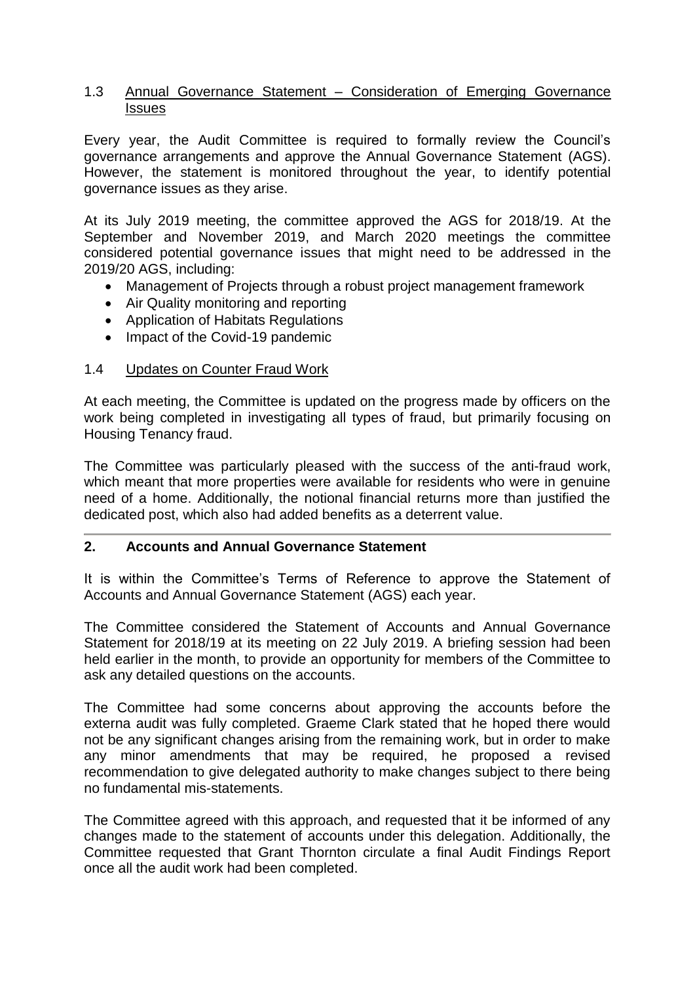#### 1.3 Annual Governance Statement – Consideration of Emerging Governance Issues

Every year, the Audit Committee is required to formally review the Council's governance arrangements and approve the Annual Governance Statement (AGS). However, the statement is monitored throughout the year, to identify potential governance issues as they arise.

At its July 2019 meeting, the committee approved the AGS for 2018/19. At the September and November 2019, and March 2020 meetings the committee considered potential governance issues that might need to be addressed in the 2019/20 AGS, including:

- Management of Projects through a robust project management framework
- Air Quality monitoring and reporting
- Application of Habitats Regulations
- Impact of the Covid-19 pandemic

#### 1.4 Updates on Counter Fraud Work

At each meeting, the Committee is updated on the progress made by officers on the work being completed in investigating all types of fraud, but primarily focusing on Housing Tenancy fraud.

The Committee was particularly pleased with the success of the anti-fraud work, which meant that more properties were available for residents who were in genuine need of a home. Additionally, the notional financial returns more than justified the dedicated post, which also had added benefits as a deterrent value.

### **2. Accounts and Annual Governance Statement**

It is within the Committee's Terms of Reference to approve the Statement of Accounts and Annual Governance Statement (AGS) each year.

The Committee considered the Statement of Accounts and Annual Governance Statement for 2018/19 at its meeting on 22 July 2019. A briefing session had been held earlier in the month, to provide an opportunity for members of the Committee to ask any detailed questions on the accounts.

The Committee had some concerns about approving the accounts before the externa audit was fully completed. Graeme Clark stated that he hoped there would not be any significant changes arising from the remaining work, but in order to make any minor amendments that may be required, he proposed a revised recommendation to give delegated authority to make changes subject to there being no fundamental mis-statements.

The Committee agreed with this approach, and requested that it be informed of any changes made to the statement of accounts under this delegation. Additionally, the Committee requested that Grant Thornton circulate a final Audit Findings Report once all the audit work had been completed.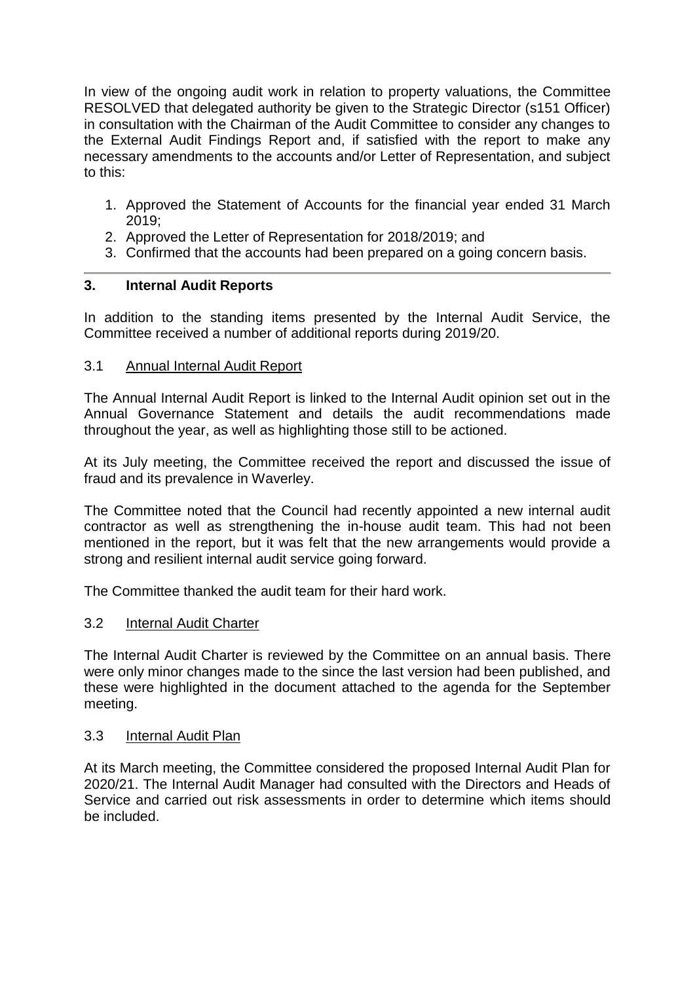In view of the ongoing audit work in relation to property valuations, the Committee RESOLVED that delegated authority be given to the Strategic Director (s151 Officer) in consultation with the Chairman of the Audit Committee to consider any changes to the External Audit Findings Report and, if satisfied with the report to make any necessary amendments to the accounts and/or Letter of Representation, and subject to this:

- 1. Approved the Statement of Accounts for the financial year ended 31 March 2019;
- 2. Approved the Letter of Representation for 2018/2019; and
- 3. Confirmed that the accounts had been prepared on a going concern basis.

### **3. Internal Audit Reports**

In addition to the standing items presented by the Internal Audit Service, the Committee received a number of additional reports during 2019/20.

### 3.1 Annual Internal Audit Report

The Annual Internal Audit Report is linked to the Internal Audit opinion set out in the Annual Governance Statement and details the audit recommendations made throughout the year, as well as highlighting those still to be actioned.

At its July meeting, the Committee received the report and discussed the issue of fraud and its prevalence in Waverley.

The Committee noted that the Council had recently appointed a new internal audit contractor as well as strengthening the in-house audit team. This had not been mentioned in the report, but it was felt that the new arrangements would provide a strong and resilient internal audit service going forward.

The Committee thanked the audit team for their hard work.

### 3.2 Internal Audit Charter

The Internal Audit Charter is reviewed by the Committee on an annual basis. There were only minor changes made to the since the last version had been published, and these were highlighted in the document attached to the agenda for the September meeting.

#### 3.3 Internal Audit Plan

At its March meeting, the Committee considered the proposed Internal Audit Plan for 2020/21. The Internal Audit Manager had consulted with the Directors and Heads of Service and carried out risk assessments in order to determine which items should be included.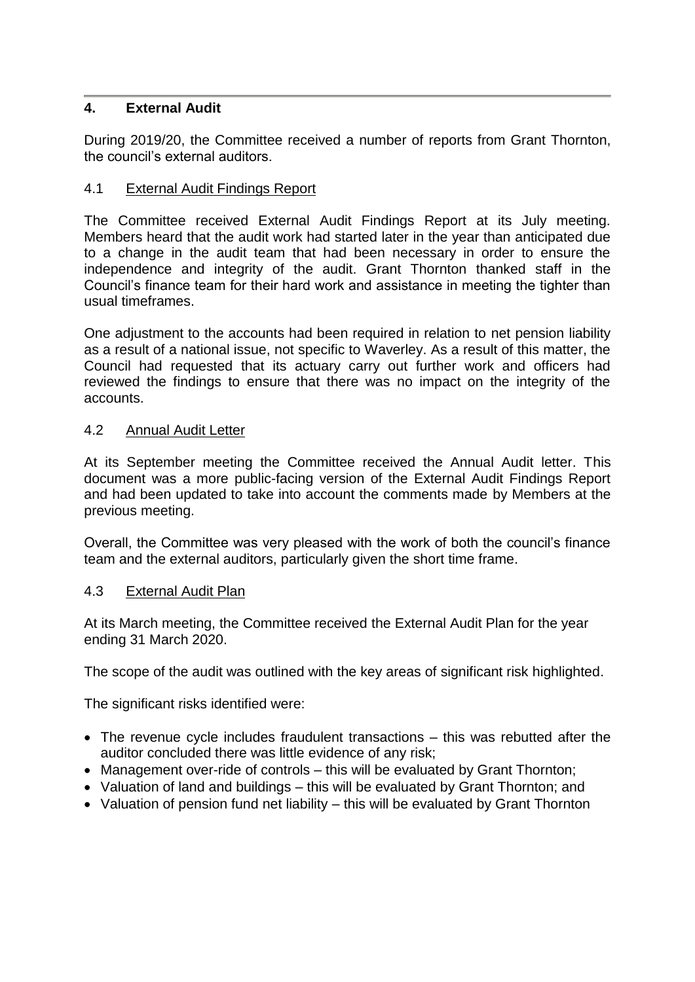### **4. External Audit**

During 2019/20, the Committee received a number of reports from Grant Thornton, the council's external auditors.

### 4.1 External Audit Findings Report

The Committee received External Audit Findings Report at its July meeting. Members heard that the audit work had started later in the year than anticipated due to a change in the audit team that had been necessary in order to ensure the independence and integrity of the audit. Grant Thornton thanked staff in the Council's finance team for their hard work and assistance in meeting the tighter than usual timeframes.

One adjustment to the accounts had been required in relation to net pension liability as a result of a national issue, not specific to Waverley. As a result of this matter, the Council had requested that its actuary carry out further work and officers had reviewed the findings to ensure that there was no impact on the integrity of the accounts.

### 4.2 Annual Audit Letter

At its September meeting the Committee received the Annual Audit letter. This document was a more public-facing version of the External Audit Findings Report and had been updated to take into account the comments made by Members at the previous meeting.

Overall, the Committee was very pleased with the work of both the council's finance team and the external auditors, particularly given the short time frame.

### 4.3 External Audit Plan

At its March meeting, the Committee received the External Audit Plan for the year ending 31 March 2020.

The scope of the audit was outlined with the key areas of significant risk highlighted.

The significant risks identified were:

- The revenue cycle includes fraudulent transactions this was rebutted after the auditor concluded there was little evidence of any risk;
- Management over-ride of controls this will be evaluated by Grant Thornton;
- Valuation of land and buildings this will be evaluated by Grant Thornton; and
- Valuation of pension fund net liability this will be evaluated by Grant Thornton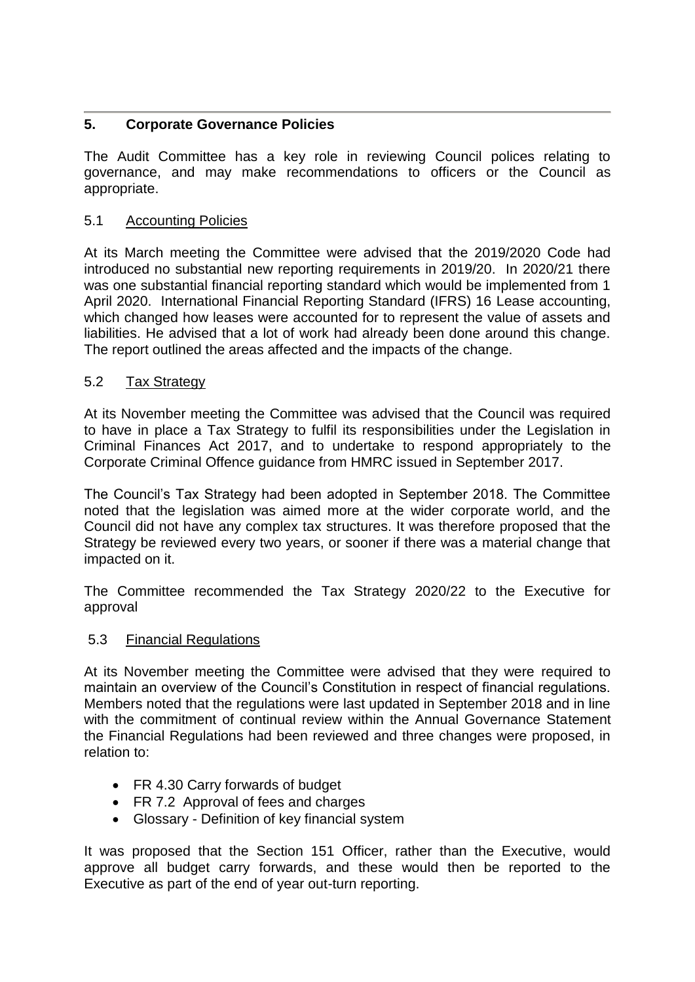## **5. Corporate Governance Policies**

The Audit Committee has a key role in reviewing Council polices relating to governance, and may make recommendations to officers or the Council as appropriate.

## 5.1 Accounting Policies

At its March meeting the Committee were advised that the 2019/2020 Code had introduced no substantial new reporting requirements in 2019/20. In 2020/21 there was one substantial financial reporting standard which would be implemented from 1 April 2020. International Financial Reporting Standard (IFRS) 16 Lease accounting, which changed how leases were accounted for to represent the value of assets and liabilities. He advised that a lot of work had already been done around this change. The report outlined the areas affected and the impacts of the change.

## 5.2 Tax Strategy

At its November meeting the Committee was advised that the Council was required to have in place a Tax Strategy to fulfil its responsibilities under the Legislation in Criminal Finances Act 2017, and to undertake to respond appropriately to the Corporate Criminal Offence guidance from HMRC issued in September 2017.

The Council's Tax Strategy had been adopted in September 2018. The Committee noted that the legislation was aimed more at the wider corporate world, and the Council did not have any complex tax structures. It was therefore proposed that the Strategy be reviewed every two years, or sooner if there was a material change that impacted on it.

The Committee recommended the Tax Strategy 2020/22 to the Executive for approval

## 5.3 Financial Regulations

At its November meeting the Committee were advised that they were required to maintain an overview of the Council's Constitution in respect of financial regulations. Members noted that the regulations were last updated in September 2018 and in line with the commitment of continual review within the Annual Governance Statement the Financial Regulations had been reviewed and three changes were proposed, in relation to:

- FR 4.30 Carry forwards of budget
- FR 7.2 Approval of fees and charges
- Glossary Definition of key financial system

It was proposed that the Section 151 Officer, rather than the Executive, would approve all budget carry forwards, and these would then be reported to the Executive as part of the end of year out-turn reporting.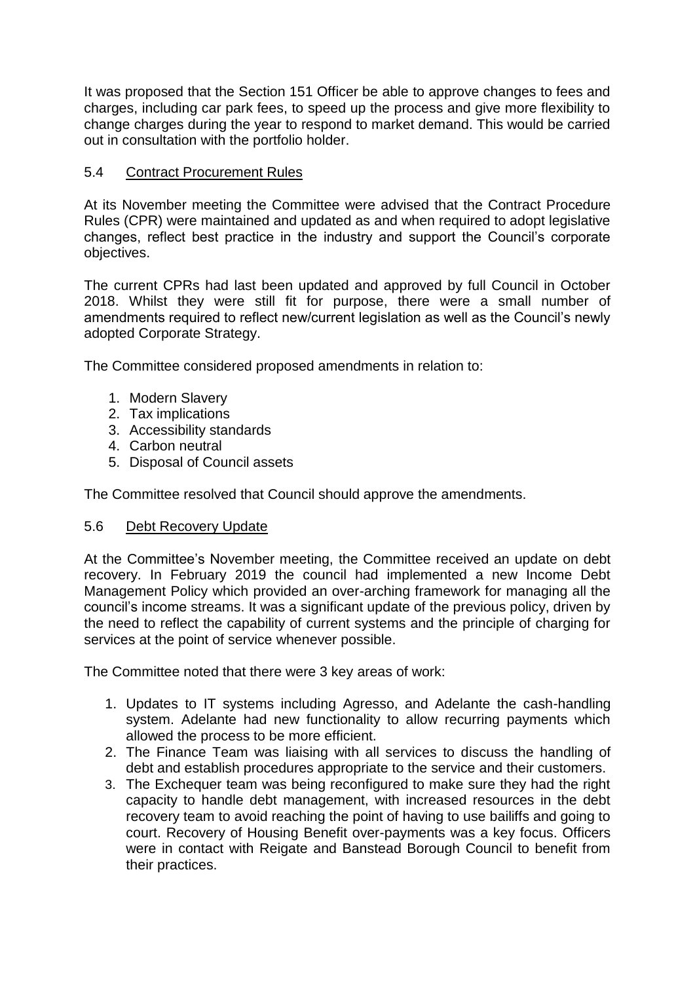It was proposed that the Section 151 Officer be able to approve changes to fees and charges, including car park fees, to speed up the process and give more flexibility to change charges during the year to respond to market demand. This would be carried out in consultation with the portfolio holder.

## 5.4 Contract Procurement Rules

At its November meeting the Committee were advised that the Contract Procedure Rules (CPR) were maintained and updated as and when required to adopt legislative changes, reflect best practice in the industry and support the Council's corporate objectives.

The current CPRs had last been updated and approved by full Council in October 2018. Whilst they were still fit for purpose, there were a small number of amendments required to reflect new/current legislation as well as the Council's newly adopted Corporate Strategy.

The Committee considered proposed amendments in relation to:

- 1. Modern Slavery
- 2. Tax implications
- 3. Accessibility standards
- 4. Carbon neutral
- 5. Disposal of Council assets

The Committee resolved that Council should approve the amendments.

### 5.6 Debt Recovery Update

At the Committee's November meeting, the Committee received an update on debt recovery. In February 2019 the council had implemented a new Income Debt Management Policy which provided an over-arching framework for managing all the council's income streams. It was a significant update of the previous policy, driven by the need to reflect the capability of current systems and the principle of charging for services at the point of service whenever possible.

The Committee noted that there were 3 key areas of work:

- 1. Updates to IT systems including Agresso, and Adelante the cash-handling system. Adelante had new functionality to allow recurring payments which allowed the process to be more efficient.
- 2. The Finance Team was liaising with all services to discuss the handling of debt and establish procedures appropriate to the service and their customers.
- 3. The Exchequer team was being reconfigured to make sure they had the right capacity to handle debt management, with increased resources in the debt recovery team to avoid reaching the point of having to use bailiffs and going to court. Recovery of Housing Benefit over-payments was a key focus. Officers were in contact with Reigate and Banstead Borough Council to benefit from their practices.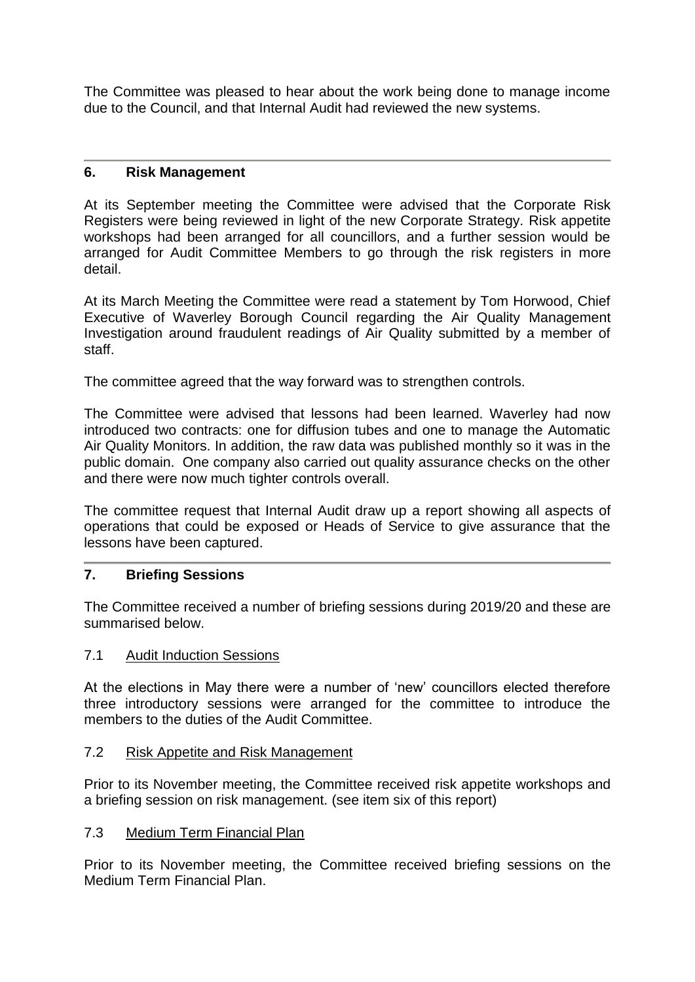The Committee was pleased to hear about the work being done to manage income due to the Council, and that Internal Audit had reviewed the new systems.

### **6. Risk Management**

At its September meeting the Committee were advised that the Corporate Risk Registers were being reviewed in light of the new Corporate Strategy. Risk appetite workshops had been arranged for all councillors, and a further session would be arranged for Audit Committee Members to go through the risk registers in more detail.

At its March Meeting the Committee were read a statement by Tom Horwood, Chief Executive of Waverley Borough Council regarding the Air Quality Management Investigation around fraudulent readings of Air Quality submitted by a member of staff.

The committee agreed that the way forward was to strengthen controls.

The Committee were advised that lessons had been learned. Waverley had now introduced two contracts: one for diffusion tubes and one to manage the Automatic Air Quality Monitors. In addition, the raw data was published monthly so it was in the public domain. One company also carried out quality assurance checks on the other and there were now much tighter controls overall.

The committee request that Internal Audit draw up a report showing all aspects of operations that could be exposed or Heads of Service to give assurance that the lessons have been captured.

### **7. Briefing Sessions**

The Committee received a number of briefing sessions during 2019/20 and these are summarised below.

### 7.1 Audit Induction Sessions

At the elections in May there were a number of 'new' councillors elected therefore three introductory sessions were arranged for the committee to introduce the members to the duties of the Audit Committee.

### 7.2 Risk Appetite and Risk Management

Prior to its November meeting, the Committee received risk appetite workshops and a briefing session on risk management. (see item six of this report)

### 7.3 Medium Term Financial Plan

Prior to its November meeting, the Committee received briefing sessions on the Medium Term Financial Plan.